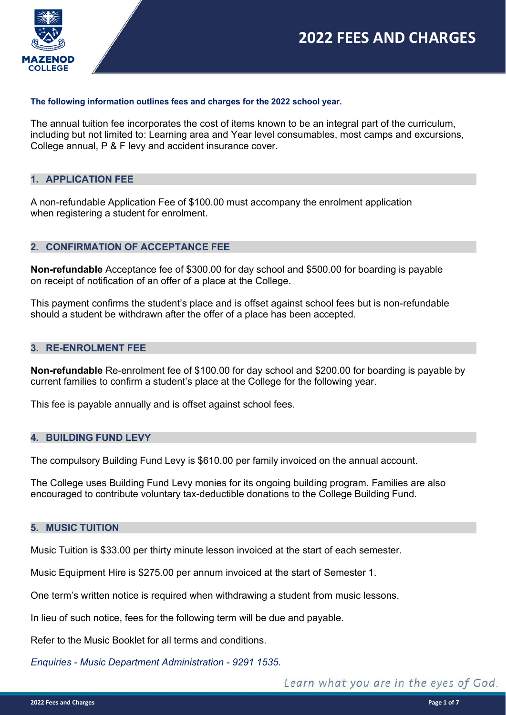

#### **The following information outlines fees and charges for the 2022 school year.**

The annual tuition fee incorporates the cost of items known to be an integral part of the curriculum, including but not limited to: Learning area and Year level consumables, most camps and excursions, College annual, P & F levy and accident insurance cover.

#### **1. APPLICATION FEE**

A non-refundable Application Fee of \$100.00 must accompany the enrolment application when registering a student for enrolment.

## **2. CONFIRMATION OF ACCEPTANCE FEE**

**Non-refundable** Acceptance fee of \$300.00 for day school and \$500.00 for boarding is payable on receipt of notification of an offer of a place at the College.

This payment confirms the student's place and is offset against school fees but is non-refundable should a student be withdrawn after the offer of a place has been accepted.

#### **3. RE-ENROLMENT FEE**

**Non-refundable** Re-enrolment fee of \$100.00 for day school and \$200.00 for boarding is payable by current families to confirm a student's place at the College for the following year.

This fee is payable annually and is offset against school fees.

#### **4. BUILDING FUND LEVY**

The compulsory Building Fund Levy is \$610.00 per family invoiced on the annual account.

The College uses Building Fund Levy monies for its ongoing building program. Families are also encouraged to contribute voluntary tax-deductible donations to the College Building Fund.

#### **5. MUSIC TUITION**

Music Tuition is \$33.00 per thirty minute lesson invoiced at the start of each semester.

Music Equipment Hire is \$275.00 per annum invoiced at the start of Semester 1.

One term's written notice is required when withdrawing a student from music lessons.

In lieu of such notice, fees for the following term will be due and payable.

Refer to the Music Booklet for all terms and conditions.

*Enquiries - Music Department Administration - 9291 1535.*

Learn what you are in the eyes of God.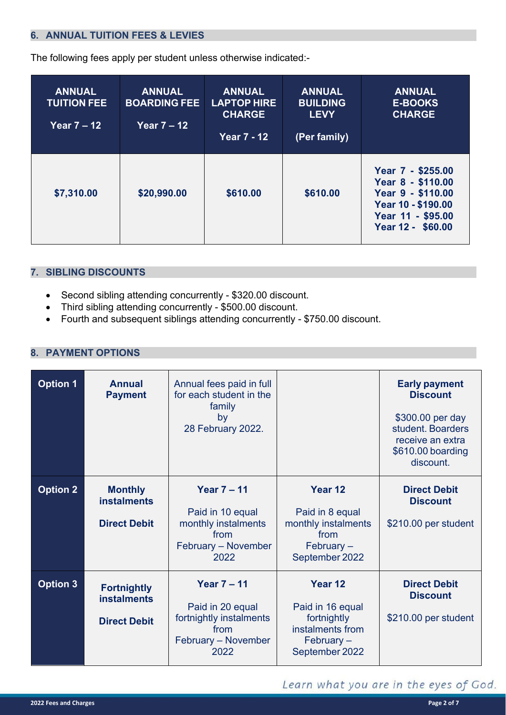# **6. ANNUAL TUITION FEES & LEVIES**

The following fees apply per student unless otherwise indicated:-

| <b>ANNUAL</b><br><b>TUITION FEE</b><br>Year $7 - 12$ | <b>ANNUAL</b><br><b>BOARDING FEE</b><br>Year $7 - 12$ | <b>ANNUAL</b><br><b>LAPTOP HIRE</b><br><b>CHARGE</b><br><b>Year 7 - 12</b> | <b>ANNUAL</b><br><b>BUILDING</b><br><b>LEVY</b><br>(Per family) | <b>ANNUAL</b><br><b>E-BOOKS</b><br><b>CHARGE</b>                                                                            |
|------------------------------------------------------|-------------------------------------------------------|----------------------------------------------------------------------------|-----------------------------------------------------------------|-----------------------------------------------------------------------------------------------------------------------------|
| \$7,310.00                                           | \$20,990.00                                           | \$610.00                                                                   | \$610.00                                                        | Year 7 - \$255.00<br>Year 8 - \$110.00<br>Year 9 - \$110.00<br>Year 10 - \$190.00<br>Year 11 - \$95.00<br>Year 12 - \$60.00 |

#### **7. SIBLING DISCOUNTS**

- Second sibling attending concurrently \$320.00 discount.
- Third sibling attending concurrently \$500.00 discount.
- Fourth and subsequent siblings attending concurrently \$750.00 discount.

## **8. PAYMENT OPTIONS**

| <b>Option 1</b> | <b>Annual</b><br><b>Payment</b>                                 | Annual fees paid in full<br>for each student in the<br>family<br>by<br>28 February 2022.                 |                                                                                                          | <b>Early payment</b><br><b>Discount</b><br>\$300.00 per day<br>student. Boarders<br>receive an extra<br>\$610.00 boarding<br>discount. |
|-----------------|-----------------------------------------------------------------|----------------------------------------------------------------------------------------------------------|----------------------------------------------------------------------------------------------------------|----------------------------------------------------------------------------------------------------------------------------------------|
| <b>Option 2</b> | <b>Monthly</b><br><b>instalments</b><br><b>Direct Debit</b>     | Year $7 - 11$<br>Paid in 10 equal<br>monthly instalments<br>from<br>February - November<br>2022          | Year 12<br>Paid in 8 equal<br>monthly instalments<br>from<br>February $-$<br>September 2022              | <b>Direct Debit</b><br><b>Discount</b><br>\$210.00 per student                                                                         |
| <b>Option 3</b> | <b>Fortnightly</b><br><b>instalments</b><br><b>Direct Debit</b> | <b>Year 7 - 11</b><br>Paid in 20 equal<br>fortnightly instalments<br>from<br>February - November<br>2022 | Year <sub>12</sub><br>Paid in 16 equal<br>fortnightly<br>instalments from<br>February-<br>September 2022 | <b>Direct Debit</b><br><b>Discount</b><br>\$210.00 per student                                                                         |

# Learn what you are in the eyes of God.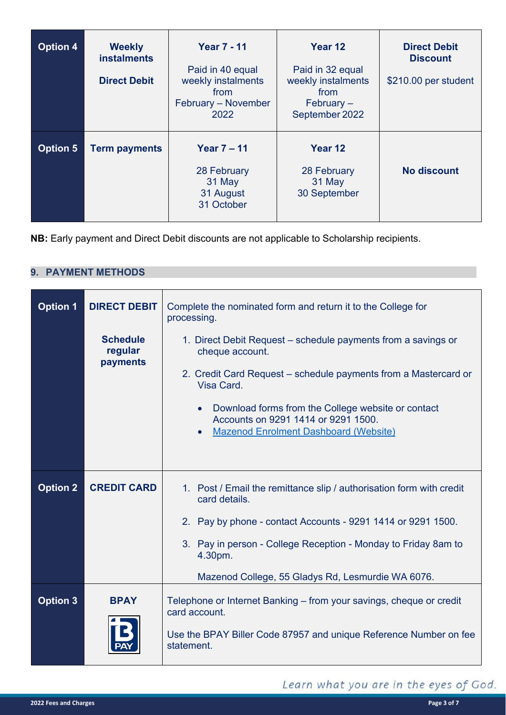| <b>Option 4</b> | <b>Weekly</b><br><b>instalments</b><br><b>Direct Debit</b> | <b>Year 7 - 11</b><br>Paid in 40 equal<br>weekly instalments<br>from<br>February - November<br>2022 | Year 12<br>Paid in 32 equal<br>weekly instalments<br>from<br>$Februar -$<br>September 2022 | <b>Direct Debit</b><br><b>Discount</b><br>\$210.00 per student |
|-----------------|------------------------------------------------------------|-----------------------------------------------------------------------------------------------------|--------------------------------------------------------------------------------------------|----------------------------------------------------------------|
| <b>Option 5</b> | <b>Term payments</b>                                       | Year $7 - 11$<br>28 February<br>31 May<br>31 August<br>31 October                                   | Year 12<br>28 February<br>31 May<br>30 September                                           | <b>No discount</b>                                             |

**NB:** Early payment and Direct Debit discounts are not applicable to Scholarship recipients.

# **9. PAYMENT METHODS**

| <b>Option 1</b> | <b>DIRECT DEBIT</b><br><b>Schedule</b><br>regular<br>payments | Complete the nominated form and return it to the College for<br>processing.<br>1. Direct Debit Request – schedule payments from a savings or<br>cheque account.<br>2. Credit Card Request – schedule payments from a Mastercard or<br>Visa Card.<br>Download forms from the College website or contact<br>Accounts on 9291 1414 or 9291 1500.<br><b>Mazenod Enrolment Dashboard (Website)</b> |
|-----------------|---------------------------------------------------------------|-----------------------------------------------------------------------------------------------------------------------------------------------------------------------------------------------------------------------------------------------------------------------------------------------------------------------------------------------------------------------------------------------|
| <b>Option 2</b> | <b>CREDIT CARD</b>                                            | 1. Post / Email the remittance slip / authorisation form with credit<br>card details.<br>2. Pay by phone - contact Accounts - 9291 1414 or 9291 1500.<br>3. Pay in person - College Reception - Monday to Friday 8am to<br>4.30pm.<br>Mazenod College, 55 Gladys Rd, Lesmurdie WA 6076.                                                                                                       |
| <b>Option 3</b> | <b>BPAY</b>                                                   | Telephone or Internet Banking – from your savings, cheque or credit<br>card account.<br>Use the BPAY Biller Code 87957 and unique Reference Number on fee<br>statement.                                                                                                                                                                                                                       |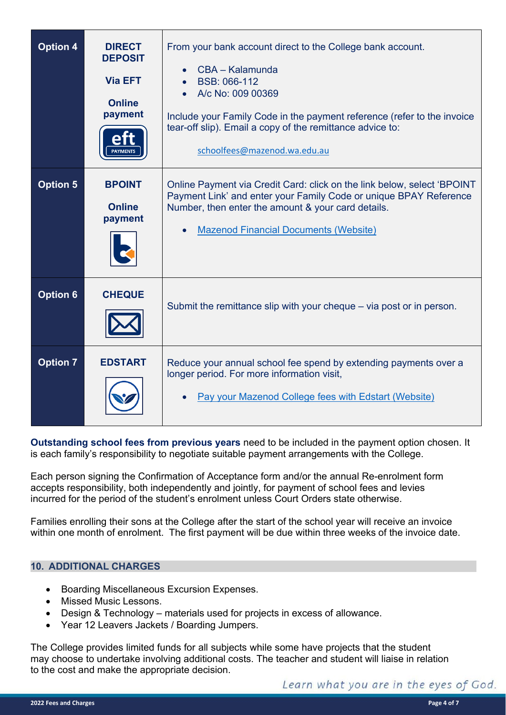| <b>Option 4</b> | <b>DIRECT</b><br><b>DEPOSIT</b><br><b>Via EFT</b><br><b>Online</b><br>payment<br><b>PAYMENTS</b> | From your bank account direct to the College bank account.<br>CBA - Kalamunda<br>BSB: 066-112<br>A/c No: 009 00369<br>Include your Family Code in the payment reference (refer to the invoice<br>tear-off slip). Email a copy of the remittance advice to:<br>schoolfees@mazenod.wa.edu.au |
|-----------------|--------------------------------------------------------------------------------------------------|--------------------------------------------------------------------------------------------------------------------------------------------------------------------------------------------------------------------------------------------------------------------------------------------|
| <b>Option 5</b> | <b>BPOINT</b><br><b>Online</b><br>payment                                                        | Online Payment via Credit Card: click on the link below, select 'BPOINT<br>Payment Link' and enter your Family Code or unique BPAY Reference<br>Number, then enter the amount & your card details.<br><b>Mazenod Financial Documents (Website)</b>                                         |
| <b>Option 6</b> | <b>CHEQUE</b>                                                                                    | Submit the remittance slip with your cheque – via post or in person.                                                                                                                                                                                                                       |
| <b>Option 7</b> | <b>EDSTART</b>                                                                                   | Reduce your annual school fee spend by extending payments over a<br>longer period. For more information visit,<br>Pay your Mazenod College fees with Edstart (Website)                                                                                                                     |

**Outstanding school fees from previous years** need to be included in the payment option chosen. It is each family's responsibility to negotiate suitable payment arrangements with the College.

Each person signing the Confirmation of Acceptance form and/or the annual Re-enrolment form accepts responsibility, both independently and jointly, for payment of school fees and levies incurred for the period of the student's enrolment unless Court Orders state otherwise.

Families enrolling their sons at the College after the start of the school year will receive an invoice within one month of enrolment. The first payment will be due within three weeks of the invoice date.

## **10. ADDITIONAL CHARGES**

- Boarding Miscellaneous Excursion Expenses.
- Missed Music Lessons.
- Design & Technology materials used for projects in excess of allowance.
- Year 12 Leavers Jackets / Boarding Jumpers.

The College provides limited funds for all subjects while some have projects that the student may choose to undertake involving additional costs. The teacher and student will liaise in relation to the cost and make the appropriate decision.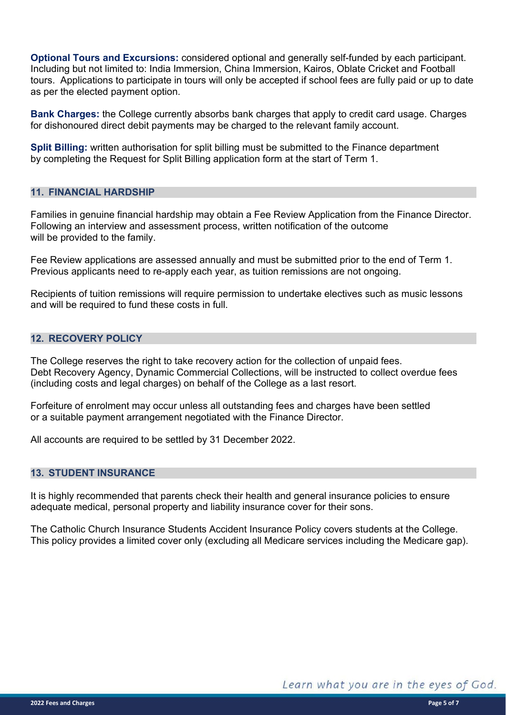**Optional Tours and Excursions:** considered optional and generally self-funded by each participant. Including but not limited to: India Immersion, China Immersion, Kairos, Oblate Cricket and Football tours. Applications to participate in tours will only be accepted if school fees are fully paid or up to date as per the elected payment option.

**Bank Charges:** the College currently absorbs bank charges that apply to credit card usage. Charges for dishonoured direct debit payments may be charged to the relevant family account.

**Split Billing:** written authorisation for split billing must be submitted to the Finance department by completing the Request for Split Billing application form at the start of Term 1.

## **11. FINANCIAL HARDSHIP**

Families in genuine financial hardship may obtain a Fee Review Application from the Finance Director. Following an interview and assessment process, written notification of the outcome will be provided to the family.

Fee Review applications are assessed annually and must be submitted prior to the end of Term 1. Previous applicants need to re-apply each year, as tuition remissions are not ongoing.

Recipients of tuition remissions will require permission to undertake electives such as music lessons and will be required to fund these costs in full.

#### **12. RECOVERY POLICY**

The College reserves the right to take recovery action for the collection of unpaid fees. Debt Recovery Agency, Dynamic Commercial Collections, will be instructed to collect overdue fees (including costs and legal charges) on behalf of the College as a last resort.

Forfeiture of enrolment may occur unless all outstanding fees and charges have been settled or a suitable payment arrangement negotiated with the Finance Director.

All accounts are required to be settled by 31 December 2022.

#### **13. STUDENT INSURANCE**

It is highly recommended that parents check their health and general insurance policies to ensure adequate medical, personal property and liability insurance cover for their sons.

The Catholic Church Insurance Students Accident Insurance Policy covers students at the College. This policy provides a limited cover only (excluding all Medicare services including the Medicare gap).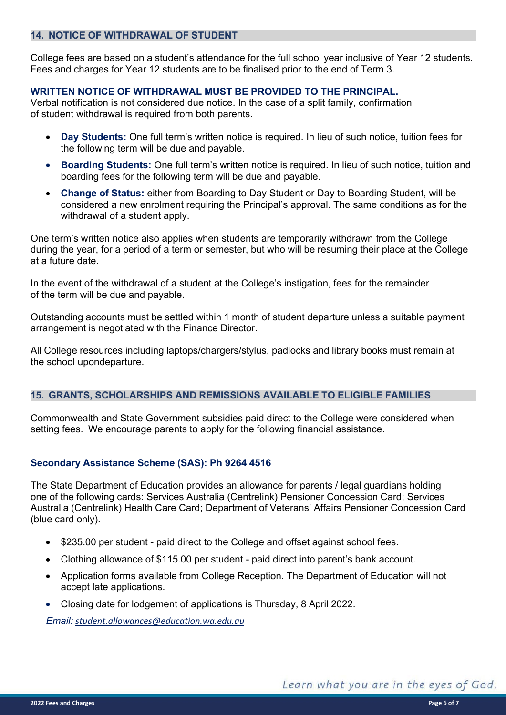## **14. NOTICE OF WITHDRAWAL OF STUDENT**

College fees are based on a student's attendance for the full school year inclusive of Year 12 students. Fees and charges for Year 12 students are to be finalised prior to the end of Term 3.

# **WRITTEN NOTICE OF WITHDRAWAL MUST BE PROVIDED TO THE PRINCIPAL.**

Verbal notification is not considered due notice. In the case of a split family, confirmation of student withdrawal is required from both parents.

- **Day Students:** One full term's written notice is required. In lieu of such notice, tuition fees for the following term will be due and payable.
- **Boarding Students:** One full term's written notice is required. In lieu of such notice, tuition and boarding fees for the following term will be due and payable.
- **Change of Status:** either from Boarding to Day Student or Day to Boarding Student, will be considered a new enrolment requiring the Principal's approval. The same conditions as for the withdrawal of a student apply.

One term's written notice also applies when students are temporarily withdrawn from the College during the year, for a period of a term or semester, but who will be resuming their place at the College at a future date.

In the event of the withdrawal of a student at the College's instigation, fees for the remainder of the term will be due and payable.

Outstanding accounts must be settled within 1 month of student departure unless a suitable payment arrangement is negotiated with the Finance Director.

All College resources including laptops/chargers/stylus, padlocks and library books must remain at the school upondeparture.

## **15. GRANTS, SCHOLARSHIPS AND REMISSIONS AVAILABLE TO ELIGIBLE FAMILIES**

Commonwealth and State Government subsidies paid direct to the College were considered when setting fees. We encourage parents to apply for the following financial assistance.

# **Secondary Assistance Scheme (SAS): Ph 9264 4516**

The State Department of Education provides an allowance for parents / legal guardians holding one of the following cards: Services Australia (Centrelink) Pensioner Concession Card; Services Australia (Centrelink) Health Care Card; Department of Veterans' Affairs Pensioner Concession Card (blue card only).

- \$235.00 per student paid direct to the College and offset against school fees.
- Clothing allowance of \$115.00 per student paid direct into parent's bank account.
- Application forms available from College Reception. The Department of Education will not accept late applications.
- Closing date for lodgement of applications is Thursday, 8 April 2022.

*Email: [student.allowances@education.wa.edu.au](mailto:student.allowances@education.wa.edu.au)*